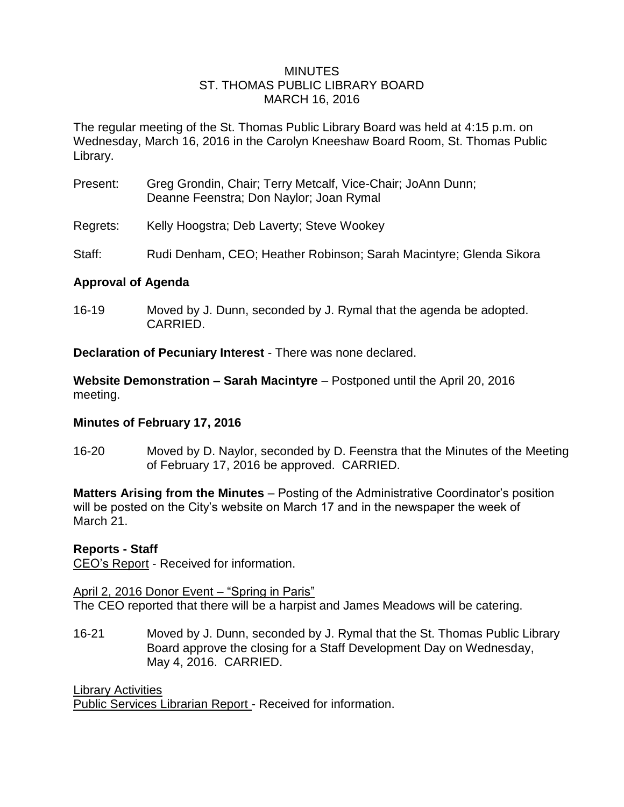#### **MINUTES** ST. THOMAS PUBLIC LIBRARY BOARD MARCH 16, 2016

The regular meeting of the St. Thomas Public Library Board was held at 4:15 p.m. on Wednesday, March 16, 2016 in the Carolyn Kneeshaw Board Room, St. Thomas Public Library.

- Present: Greg Grondin, Chair; Terry Metcalf, Vice-Chair; JoAnn Dunn; Deanne Feenstra; Don Naylor; Joan Rymal
- Regrets: Kelly Hoogstra; Deb Laverty; Steve Wookey
- Staff: Rudi Denham, CEO; Heather Robinson; Sarah Macintyre; Glenda Sikora

### **Approval of Agenda**

16-19 Moved by J. Dunn, seconded by J. Rymal that the agenda be adopted. CARRIED.

**Declaration of Pecuniary Interest** - There was none declared.

**Website Demonstration – Sarah Macintyre** – Postponed until the April 20, 2016 meeting.

# **Minutes of February 17, 2016**

16-20 Moved by D. Naylor, seconded by D. Feenstra that the Minutes of the Meeting of February 17, 2016 be approved. CARRIED.

**Matters Arising from the Minutes** – Posting of the Administrative Coordinator's position will be posted on the City's website on March 17 and in the newspaper the week of March 21.

#### **Reports - Staff**

CEO's Report - Received for information.

April 2, 2016 Donor Event – "Spring in Paris"

The CEO reported that there will be a harpist and James Meadows will be catering.

16-21 Moved by J. Dunn, seconded by J. Rymal that the St. Thomas Public Library Board approve the closing for a Staff Development Day on Wednesday, May 4, 2016. CARRIED.

Library Activities Public Services Librarian Report - Received for information.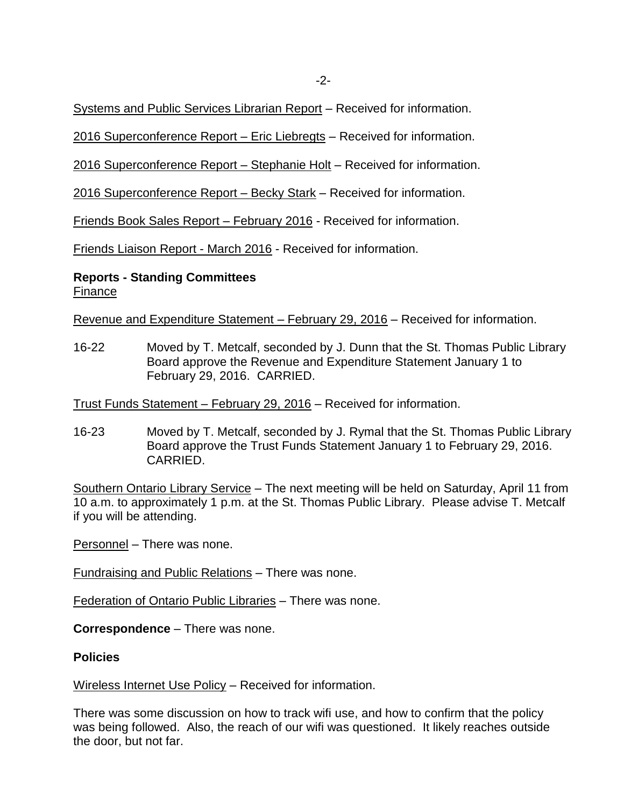Systems and Public Services Librarian Report – Received for information.

2016 Superconference Report – Eric Liebregts – Received for information.

2016 Superconference Report – Stephanie Holt – Received for information.

2016 Superconference Report – Becky Stark – Received for information.

Friends Book Sales Report – February 2016 - Received for information.

Friends Liaison Report - March 2016 - Received for information.

**Reports - Standing Committees** Finance

Revenue and Expenditure Statement – February 29, 2016 – Received for information.

16-22 Moved by T. Metcalf, seconded by J. Dunn that the St. Thomas Public Library Board approve the Revenue and Expenditure Statement January 1 to February 29, 2016. CARRIED.

Trust Funds Statement – February 29, 2016 – Received for information.

16-23 Moved by T. Metcalf, seconded by J. Rymal that the St. Thomas Public Library Board approve the Trust Funds Statement January 1 to February 29, 2016. CARRIED.

Southern Ontario Library Service - The next meeting will be held on Saturday, April 11 from 10 a.m. to approximately 1 p.m. at the St. Thomas Public Library. Please advise T. Metcalf if you will be attending.

Personnel – There was none.

Fundraising and Public Relations – There was none.

Federation of Ontario Public Libraries – There was none.

**Correspondence** – There was none.

#### **Policies**

Wireless Internet Use Policy – Received for information.

There was some discussion on how to track wifi use, and how to confirm that the policy was being followed. Also, the reach of our wifi was questioned. It likely reaches outside the door, but not far.